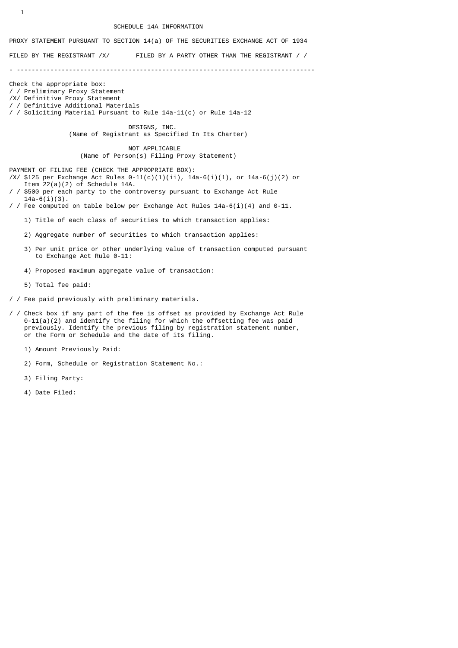#### SCHEDULE 14A INFORMATION

# PROXY STATEMENT PURSUANT TO SECTION 14(a) OF THE SECURITIES EXCHANGE ACT OF 1934

FILED BY THE REGISTRANT /X/ FILED BY A PARTY OTHER THAN THE REGISTRANT / /

- --------------------------------------------------------------------------------

Check the appropriate box: / / Preliminary Proxy Statement /X/ Definitive Proxy Statement / / Definitive Additional Materials

/ / Soliciting Material Pursuant to Rule 14a-11(c) or Rule 14a-12

 DESIGNS, INC. (Name of Registrant as Specified In Its Charter)

 NOT APPLICABLE (Name of Person(s) Filing Proxy Statement)

PAYMENT OF FILING FEE (CHECK THE APPROPRIATE BOX):

- /X/ \$125 per Exchange Act Rules  $0-11(c)(1)(ii)$ ,  $14a-6(i)(1)$ , or  $14a-6(j)(2)$  or Item  $22(a)(2)$  of Schedule 14A.
- \$500 per each party to the controversy pursuant to Exchange Act Rule  $14a-6(i)(3)$ .
- / / Fee computed on table below per Exchange Act Rules  $14a-6(i)(4)$  and  $0-11$ .
	- 1) Title of each class of securities to which transaction applies:
	- 2) Aggregate number of securities to which transaction applies:
	- 3) Per unit price or other underlying value of transaction computed pursuant to Exchange Act Rule 0-11:
	- 4) Proposed maximum aggregate value of transaction:
	- 5) Total fee paid:
- / / Fee paid previously with preliminary materials.
- / / Check box if any part of the fee is offset as provided by Exchange Act Rule  $0-11(a)(2)$  and identify the filing for which the offsetting fee was paid previously. Identify the previous filing by registration statement number, or the Form or Schedule and the date of its filing.
	- 1) Amount Previously Paid:
	- 2) Form, Schedule or Registration Statement No.:
	- 3) Filing Party:
	- 4) Date Filed: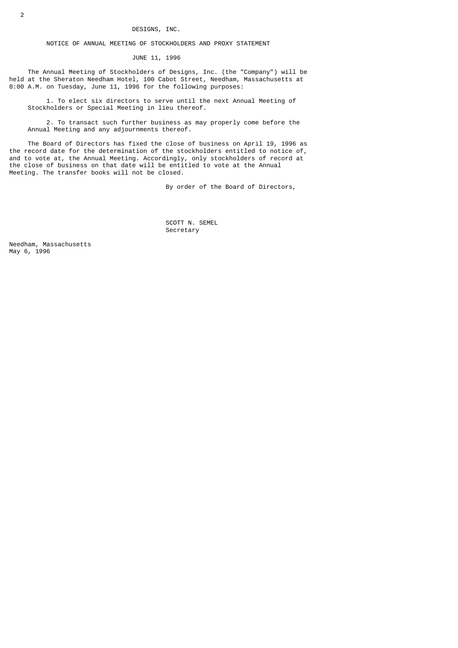# NOTICE OF ANNUAL MEETING OF STOCKHOLDERS AND PROXY STATEMENT

JUNE 11, 1996

 The Annual Meeting of Stockholders of Designs, Inc. (the "Company") will be held at the Sheraton Needham Hotel, 100 Cabot Street, Needham, Massachusetts at 8:00 A.M. on Tuesday, June 11, 1996 for the following purposes:

 1. To elect six directors to serve until the next Annual Meeting of Stockholders or Special Meeting in lieu thereof.

 2. To transact such further business as may properly come before the Annual Meeting and any adjournments thereof.

 The Board of Directors has fixed the close of business on April 19, 1996 as the record date for the determination of the stockholders entitled to notice of, and to vote at, the Annual Meeting. Accordingly, only stockholders of record at the close of business on that date will be entitled to vote at the Annual Meeting. The transfer books will not be closed.

By order of the Board of Directors,

 SCOTT N. SEMEL Secretary

Needham, Massachusetts May 6, 1996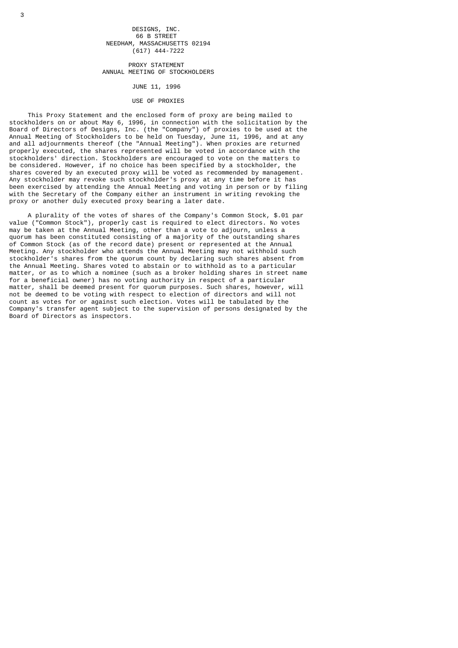# DESIGNS, INC. 66 B STREET NEEDHAM, MASSACHUSETTS 02194 (617) 444-7222

 PROXY STATEMENT ANNUAL MEETING OF STOCKHOLDERS

JUNE 11, 1996

# USE OF PROXIES

 This Proxy Statement and the enclosed form of proxy are being mailed to stockholders on or about May 6, 1996, in connection with the solicitation by the Board of Directors of Designs, Inc. (the "Company") of proxies to be used at the Annual Meeting of Stockholders to be held on Tuesday, June 11, 1996, and at any and all adjournments thereof (the "Annual Meeting"). When proxies are returned properly executed, the shares represented will be voted in accordance with the stockholders' direction. Stockholders are encouraged to vote on the matters to be considered. However, if no choice has been specified by a stockholder, the shares covered by an executed proxy will be voted as recommended by management. Any stockholder may revoke such stockholder's proxy at any time before it has been exercised by attending the Annual Meeting and voting in person or by filing with the Secretary of the Company either an instrument in writing revoking the proxy or another duly executed proxy bearing a later date.

 A plurality of the votes of shares of the Company's Common Stock, \$.01 par value ("Common Stock"), properly cast is required to elect directors. No votes may be taken at the Annual Meeting, other than a vote to adjourn, unless a quorum has been constituted consisting of a majority of the outstanding shares of Common Stock (as of the record date) present or represented at the Annual Meeting. Any stockholder who attends the Annual Meeting may not withhold such stockholder's shares from the quorum count by declaring such shares absent from the Annual Meeting. Shares voted to abstain or to withhold as to a particular matter, or as to which a nominee (such as a broker holding shares in street name for a beneficial owner) has no voting authority in respect of a particular matter, shall be deemed present for quorum purposes. Such shares, however, will not be deemed to be voting with respect to election of directors and will not count as votes for or against such election. Votes will be tabulated by the Company's transfer agent subject to the supervision of persons designated by the Board of Directors as inspectors.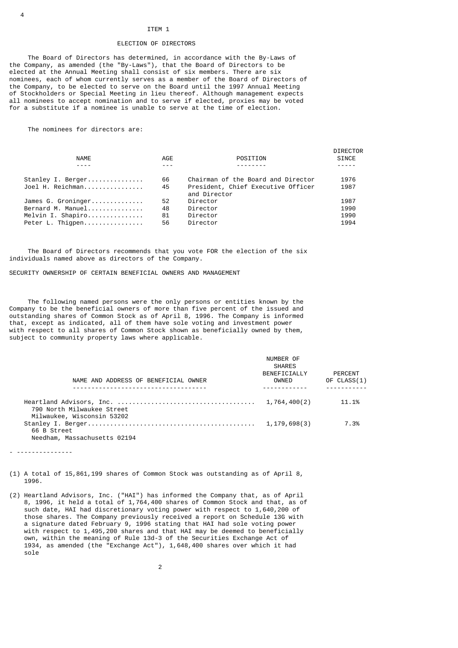# ITEM 1

### ELECTION OF DIRECTORS

 The Board of Directors has determined, in accordance with the By-Laws of the Company, as amended (the "By-Laws"), that the Board of Directors to be elected at the Annual Meeting shall consist of six members. There are six nominees, each of whom currently serves as a member of the Board of Directors of the Company, to be elected to serve on the Board until the 1997 Annual Meeting of Stockholders or Special Meeting in lieu thereof. Although management expects all nominees to accept nomination and to serve if elected, proxies may be voted for a substitute if a nominee is unable to serve at the time of election.

The nominees for directors are:

| <b>NAME</b>        | AGE | POSITION                                           | <b>DIRECTOR</b><br><b>SINCE</b> |
|--------------------|-----|----------------------------------------------------|---------------------------------|
|                    |     |                                                    |                                 |
| Stanley I. Berger  | 66  | Chairman of the Board and Director                 | 1976                            |
| Joel H. Reichman   | 45  | President, Chief Executive Officer<br>and Director | 1987                            |
| James G. Groninger | 52  | Director                                           | 1987                            |
| Bernard M. Manuel  | 48  | Director                                           | 1990                            |
| Melvin I. Shapiro  | 81  | Director                                           | 1990                            |
| Peter L. Thiqpen   | 56  | Director                                           | 1994                            |
|                    |     |                                                    |                                 |

 The Board of Directors recommends that you vote FOR the election of the six individuals named above as directors of the Company.

SECURITY OWNERSHIP OF CERTAIN BENEFICIAL OWNERS AND MANAGEMENT

 The following named persons were the only persons or entities known by the Company to be the beneficial owners of more than five percent of the issued and outstanding shares of Common Stock as of April 8, 1996. The Company is informed that, except as indicated, all of them have sole voting and investment power with respect to all shares of Common Stock shown as beneficially owned by them, subject to community property laws where applicable.

| NAME AND ADDRESS OF BENEFICIAL OWNER                     | NUMBER OF<br><b>SHARES</b><br>BENEFICIALLY<br>OWNED | PERCENT<br>OF CLASS(1) |
|----------------------------------------------------------|-----------------------------------------------------|------------------------|
|                                                          |                                                     |                        |
| 790 North Milwaukee Street<br>Milwaukee, Wisconsin 53202 | 1,764,400(2)                                        | 11.1%                  |
| 66 B Street                                              | 1,179,698(3)                                        | 7.3%                   |
| Needham, Massachusetts 02194                             |                                                     |                        |

- ---------------

(1) A total of 15,861,199 shares of Common Stock was outstanding as of April 8, 1996.

(2) Heartland Advisors, Inc. ("HAI") has informed the Company that, as of April 8, 1996, it held a total of 1,764,400 shares of Common Stock and that, as of such date, HAI had discretionary voting power with respect to 1,640,200 of those shares. The Company previously received a report on Schedule 13G with a signature dated February 9, 1996 stating that HAI had sole voting power with respect to 1,495,200 shares and that HAI may be deemed to beneficially own, within the meaning of Rule 13d-3 of the Securities Exchange Act of 1934, as amended (the "Exchange Act"), 1,648,400 shares over which it had sole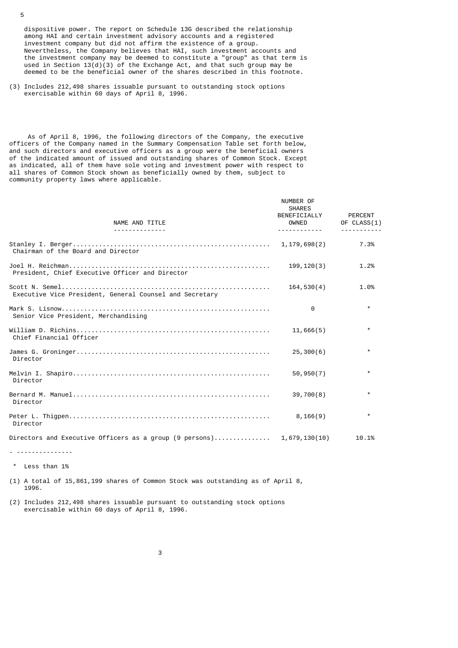dispositive power. The report on Schedule 13G described the relationship among HAI and certain investment advisory accounts and a registered investment company but did not affirm the existence of a group. Nevertheless, the Company believes that HAI, such investment accounts and the investment company may be deemed to constitute a "group" as that term is used in Section  $13(d)(3)$  of the Exchange Act, and that such group may be deemed to be the beneficial owner of the shares described in this footnote.

(3) Includes 212,498 shares issuable pursuant to outstanding stock options exercisable within 60 days of April 8, 1996.

 As of April 8, 1996, the following directors of the Company, the executive officers of the Company named in the Summary Compensation Table set forth below, and such directors and executive officers as a group were the beneficial owners of the indicated amount of issued and outstanding shares of Common Stock. Except as indicated, all of them have sole voting and investment power with respect to all shares of Common Stock shown as beneficially owned by them, subject to community property laws where applicable.

| NAME AND TITLE<br><u>.</u>                              | NUMBER OF<br><b>SHARES</b><br>BENEFICIALLY<br>OWNED<br><u>.</u> | PERCENT<br>OF CLASS(1) |
|---------------------------------------------------------|-----------------------------------------------------------------|------------------------|
| Chairman of the Board and Director                      | 1,179,698(2)                                                    | 7.3%                   |
| President, Chief Executive Officer and Director         | 199, 120(3)                                                     | 1.2%                   |
| Executive Vice President, General Counsel and Secretary | 164,530(4)                                                      | 1.0%                   |
| Senior Vice President, Merchandising                    | 0                                                               | $\star$                |
| Chief Financial Officer                                 | 11,666(5)                                                       | $\star$                |
| Director                                                | 25,300(6)                                                       | $\star$                |
| Director                                                | 50, 950(7)                                                      | $\star$                |
| Director                                                | 39,700(8)                                                       | $\star$                |
| Director                                                | 8,166(9)                                                        | $\star$                |
|                                                         |                                                                 | 10.1%                  |

- ---------------

\* Less than 1%

(1) A total of 15,861,199 shares of Common Stock was outstanding as of April 8, 1996.

(2) Includes 212,498 shares issuable pursuant to outstanding stock options exercisable within 60 days of April 8, 1996.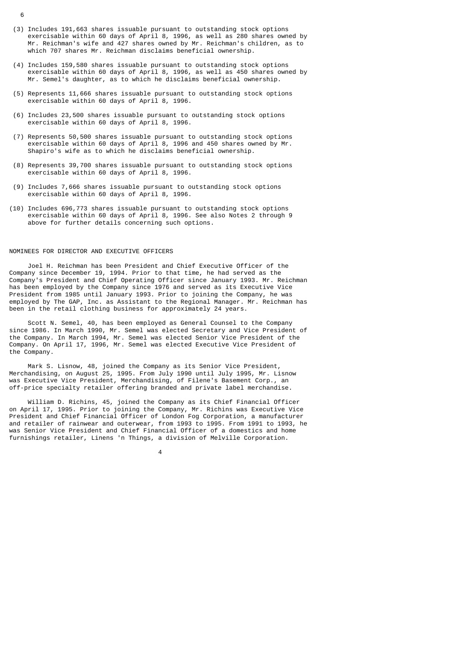- (3) Includes 191,663 shares issuable pursuant to outstanding stock options exercisable within 60 days of April 8, 1996, as well as 280 shares owned by Mr. Reichman's wife and 427 shares owned by Mr. Reichman's children, as to which 707 shares Mr. Reichman disclaims beneficial ownership.
- (4) Includes 159,580 shares issuable pursuant to outstanding stock options exercisable within 60 days of April 8, 1996, as well as 450 shares owned by Mr. Semel's daughter, as to which he disclaims beneficial ownership.
- (5) Represents 11,666 shares issuable pursuant to outstanding stock options exercisable within 60 days of April 8, 1996.
- (6) Includes 23,500 shares issuable pursuant to outstanding stock options exercisable within 60 days of April 8, 1996.
- (7) Represents 50,500 shares issuable pursuant to outstanding stock options exercisable within 60 days of April 8, 1996 and 450 shares owned by Mr. Shapiro's wife as to which he disclaims beneficial ownership.
- (8) Represents 39,700 shares issuable pursuant to outstanding stock options exercisable within 60 days of April 8, 1996.
- (9) Includes 7,666 shares issuable pursuant to outstanding stock options exercisable within 60 days of April 8, 1996.
- (10) Includes 696,773 shares issuable pursuant to outstanding stock options exercisable within 60 days of April 8, 1996. See also Notes 2 through 9 above for further details concerning such options.

# NOMINEES FOR DIRECTOR AND EXECUTIVE OFFICERS

 Joel H. Reichman has been President and Chief Executive Officer of the Company since December 19, 1994. Prior to that time, he had served as the Company's President and Chief Operating Officer since January 1993. Mr. Reichman has been employed by the Company since 1976 and served as its Executive Vice President from 1985 until January 1993. Prior to joining the Company, he was employed by The GAP, Inc. as Assistant to the Regional Manager. Mr. Reichman has been in the retail clothing business for approximately 24 years.

 Scott N. Semel, 40, has been employed as General Counsel to the Company since 1986. In March 1990, Mr. Semel was elected Secretary and Vice President of the Company. In March 1994, Mr. Semel was elected Senior Vice President of the Company. On April 17, 1996, Mr. Semel was elected Executive Vice President of the Company.

 Mark S. Lisnow, 48, joined the Company as its Senior Vice President, Merchandising, on August 25, 1995. From July 1990 until July 1995, Mr. Lisnow was Executive Vice President, Merchandising, of Filene's Basement Corp., an off-price specialty retailer offering branded and private label merchandise.

 William D. Richins, 45, joined the Company as its Chief Financial Officer on April 17, 1995. Prior to joining the Company, Mr. Richins was Executive Vice President and Chief Financial Officer of London Fog Corporation, a manufacturer and retailer of rainwear and outerwear, from 1993 to 1995. From 1991 to 1993, he was Senior Vice President and Chief Financial Officer of a domestics and home furnishings retailer, Linens 'n Things, a division of Melville Corporation.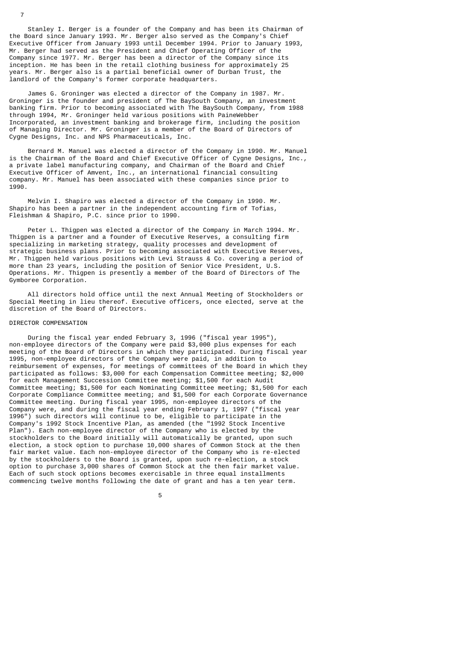Stanley I. Berger is a founder of the Company and has been its Chairman of the Board since January 1993. Mr. Berger also served as the Company's Chief Executive Officer from January 1993 until December 1994. Prior to January 1993, Mr. Berger had served as the President and Chief Operating Officer of the Company since 1977. Mr. Berger has been a director of the Company since its inception. He has been in the retail clothing business for approximately 25 years. Mr. Berger also is a partial beneficial owner of Durban Trust, the landlord of the Company's former corporate headquarters.

 James G. Groninger was elected a director of the Company in 1987. Mr. Groninger is the founder and president of The BaySouth Company, an investment banking firm. Prior to becoming associated with The BaySouth Company, from 1988 through 1994, Mr. Groninger held various positions with PaineWebber Incorporated, an investment banking and brokerage firm, including the position of Managing Director. Mr. Groninger is a member of the Board of Directors of Cygne Designs, Inc. and NPS Pharmaceuticals, Inc.

 Bernard M. Manuel was elected a director of the Company in 1990. Mr. Manuel is the Chairman of the Board and Chief Executive Officer of Cygne Designs, Inc., a private label manufacturing company, and Chairman of the Board and Chief Executive Officer of Amvent, Inc., an international financial consulting company. Mr. Manuel has been associated with these companies since prior to 1990.

 Melvin I. Shapiro was elected a director of the Company in 1990. Mr. Shapiro has been a partner in the independent accounting firm of Tofias, Fleishman & Shapiro, P.C. since prior to 1990.

 Peter L. Thigpen was elected a director of the Company in March 1994. Mr. Thigpen is a partner and a founder of Executive Reserves, a consulting firm specializing in marketing strategy, quality processes and development of strategic business plans. Prior to becoming associated with Executive Reserves, Mr. Thigpen held various positions with Levi Strauss & Co. covering a period of more than 23 years, including the position of Senior Vice President, U.S. Operations. Mr. Thigpen is presently a member of the Board of Directors of The Gymboree Corporation.

 All directors hold office until the next Annual Meeting of Stockholders or Special Meeting in lieu thereof. Executive officers, once elected, serve at the discretion of the Board of Directors.

# DIRECTOR COMPENSATION

7

 During the fiscal year ended February 3, 1996 ("fiscal year 1995"), non-employee directors of the Company were paid \$3,000 plus expenses for each meeting of the Board of Directors in which they participated. During fiscal year 1995, non-employee directors of the Company were paid, in addition to reimbursement of expenses, for meetings of committees of the Board in which they participated as follows: \$3,000 for each Compensation Committee meeting; \$2,000 for each Management Succession Committee meeting; \$1,500 for each Audit Committee meeting; \$1,500 for each Nominating Committee meeting; \$1,500 for each Corporate Compliance Committee meeting; and \$1,500 for each Corporate Governance Committee meeting. During fiscal year 1995, non-employee directors of the Company were, and during the fiscal year ending February 1, 1997 ("fiscal year 1996") such directors will continue to be, eligible to participate in the Company's 1992 Stock Incentive Plan, as amended (the "1992 Stock Incentive Plan"). Each non-employee director of the Company who is elected by the stockholders to the Board initially will automatically be granted, upon such election, a stock option to purchase 10,000 shares of Common Stock at the then fair market value. Each non-employee director of the Company who is re-elected by the stockholders to the Board is granted, upon such re-election, a stock option to purchase 3,000 shares of Common Stock at the then fair market value. Each of such stock options becomes exercisable in three equal installments commencing twelve months following the date of grant and has a ten year term.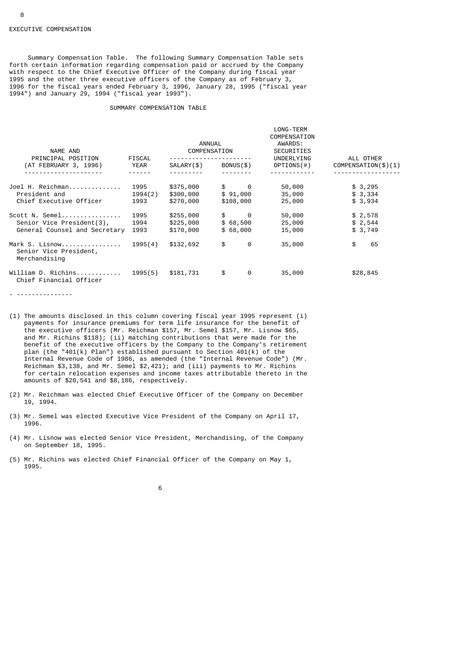Summary Compensation Table. The following Summary Compensation Table sets forth certain information regarding compensation paid or accrued by the Company with respect to the Chief Executive Officer of the Company during fiscal year 1995 and the other three executive officers of the Company as of February 3, 1996 for the fiscal years ended February 3, 1996, January 28, 1995 ("fiscal year 1994") and January 29, 1994 ("fiscal year 1993").

# SUMMARY COMPENSATION TABLE

| NAME AND                                                  |         | ANNUAL<br>COMPENSATION |                    | LONG-TERM<br>COMPENSATION<br>AWARDS:<br><b>SECURITIES</b> |                     |  |  |
|-----------------------------------------------------------|---------|------------------------|--------------------|-----------------------------------------------------------|---------------------|--|--|
| PRINCIPAL POSITION                                        | FISCAL  |                        |                    | UNDERLYING                                                | ALL OTHER           |  |  |
| (AT FEBRUARY 3, 1996)                                     | YEAR    | SALARY(\$)             | BONUS(\$)          | OPTIONS(#)                                                | COMPENSATION(\$)(1) |  |  |
|                                                           |         |                        |                    |                                                           |                     |  |  |
| Joel H. Reichman                                          | 1995    | \$375,000              | $\frac{1}{2}$ 0    | 50,000                                                    | \$3,295             |  |  |
| President and                                             | 1994(2) | \$300,000              | \$91,000           | 35,000                                                    | \$3,334             |  |  |
| Chief Executive Officer                                   | 1993    | \$270,000              | \$108,000          | 25,000                                                    | \$3,934             |  |  |
| Scott N. Semel                                            | 1995    | \$255,000              | $\frac{1}{2}$<br>0 | 50,000                                                    | \$2,578             |  |  |
| Senior Vice President(3),                                 | 1994    | \$225,000              | \$68,500           | 25,000                                                    | \$2,544             |  |  |
| General Counsel and Secretary                             | 1993    | \$170,000              | \$68,000           | 15,000                                                    | \$3,749             |  |  |
| Mark S. Lisnow<br>Senior Vice President,<br>Merchandising | 1995(4) | \$132,692              | \$<br>0            | 35,000                                                    | \$<br>65            |  |  |
| William D. Richins  1995(5)<br>Chief Financial Officer    |         | \$181,731              | \$<br>0            | 35,000                                                    | \$28,845            |  |  |

<sup>- ---------------</sup>

- (1) The amounts disclosed in this column covering fiscal year 1995 represent (i) payments for insurance premiums for term life insurance for the benefit of the executive officers (Mr. Reichman \$157, Mr. Semel \$157, Mr. Lisnow \$65, and Mr. Richins \$118); (ii) matching contributions that were made for the benefit of the executive officers by the Company to the Company's retirement plan (the "401(k) Plan") established pursuant to Section 401(k) of the Internal Revenue Code of 1986, as amended (the "Internal Revenue Code") (Mr. Reichman \$3,138, and Mr. Semel \$2,421); and (iii) payments to Mr. Richins for certain relocation expenses and income taxes attributable thereto in the amounts of \$20,541 and \$8,186, respectively.
- (2) Mr. Reichman was elected Chief Executive Officer of the Company on December 19, 1994.
- (3) Mr. Semel was elected Executive Vice President of the Company on April 17, 1996.
- (4) Mr. Lisnow was elected Senior Vice President, Merchandising, of the Company on September 18, 1995.
- (5) Mr. Richins was elected Chief Financial Officer of the Company on May 1, 1995.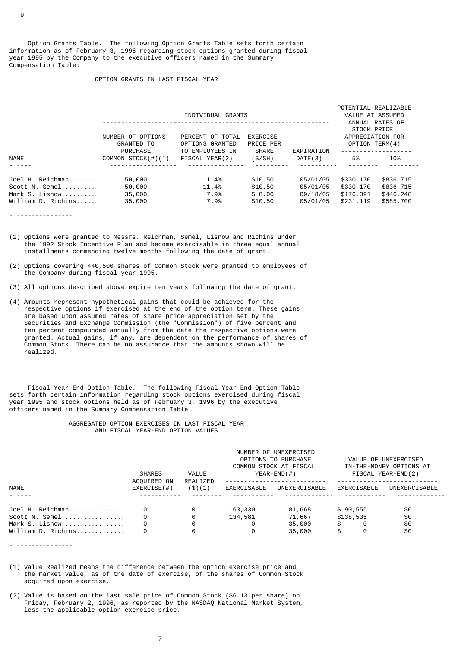Option Grants Table. The following Option Grants Table sets forth certain information as of February 3, 1996 regarding stock options granted during fiscal year 1995 by the Company to the executive officers named in the Summary Compensation Table:

# OPTION GRANTS IN LAST FISCAL YEAR

|                                                                            | NUMBER OF OPTIONS<br><b>GRANTED TO</b><br><b>PURCHASE</b> | POTENTIAL REALIZABLE<br>VALUE AT ASSUMED<br>ANNUAL RATES OF<br>STOCK PRICE<br>APPRECIATION FOR<br>OPTION TERM(4)<br>---------------- |                                         |                                              |                                                  |                                                  |  |
|----------------------------------------------------------------------------|-----------------------------------------------------------|--------------------------------------------------------------------------------------------------------------------------------------|-----------------------------------------|----------------------------------------------|--------------------------------------------------|--------------------------------------------------|--|
| <b>NAME</b>                                                                | COMMON STOCK $(\#)(1)$                                    | TO EMPLOYEES IN<br>FISCAL YEAR(2)                                                                                                    | <b>SHARE</b><br>(\$/SH)                 | EXPIRATION<br>DATE(3)                        | 5%                                               | 10%                                              |  |
|                                                                            |                                                           |                                                                                                                                      |                                         |                                              |                                                  |                                                  |  |
| Joel H. Reichman<br>Scott N. Semel<br>Mark S. Lisnow<br>William D. Richins | 50,000<br>50,000<br>35,000<br>35,000                      | 11.4%<br>11.4%<br>7.9%<br>7.9%                                                                                                       | \$10.50<br>\$10.50<br>\$8.00<br>\$10.50 | 05/01/05<br>05/01/05<br>09/18/05<br>05/01/05 | \$330,170<br>\$330,170<br>\$176,091<br>\$231,119 | \$836,715<br>\$836,715<br>\$446,248<br>\$585,700 |  |

- ---------------

- (1) Options were granted to Messrs. Reichman, Semel, Lisnow and Richins under the 1992 Stock Incentive Plan and become exercisable in three equal annual installments commencing twelve months following the date of grant.
- (2) Options covering 440,500 shares of Common Stock were granted to employees of the Company during fiscal year 1995.
- (3) All options described above expire ten years following the date of grant.
- (4) Amounts represent hypothetical gains that could be achieved for the respective options if exercised at the end of the option term. These gains are based upon assumed rates of share price appreciation set by the Securities and Exchange Commission (the "Commission") of five percent and ten percent compounded annually from the date the respective options were granted. Actual gains, if any, are dependent on the performance of shares of Common Stock. There can be no assurance that the amounts shown will be realized.

 Fiscal Year-End Option Table. The following Fiscal Year-End Option Table sets forth certain information regarding stock options exercised during fiscal year 1995 and stock options held as of February 3, 1996 by the executive officers named in the Summary Compensation Table:

## AGGREGATED OPTION EXERCISES IN LAST FISCAL YEAR AND FISCAL YEAR-END OPTION VALUES

|                                      | <b>SHARES</b><br>ACQUIRED ON | VALUE<br>REALIZED | NUMBER OF UNEXERCISED<br>OPTIONS TO PURCHASE<br>COMMON STOCK AT FISCAL<br>YEAR-END $($ # $)$ |                  | VALUE OF UNEXERCISED<br>IN-THE-MONEY OPTIONS AT<br>FISCAL YEAR-END(2) |               |
|--------------------------------------|------------------------------|-------------------|----------------------------------------------------------------------------------------------|------------------|-----------------------------------------------------------------------|---------------|
| <b>NAME</b>                          | EXERCISE(H)                  | ( \$)(1)          | EXERCISABLE                                                                                  | UNEXERCISABLE    | EXERCISABLE                                                           | UNEXERCISABLE |
| Joel H. Reichman<br>Scott N. Semel   |                              | 0<br>0            | 163,330<br>134,581                                                                           | 81,668<br>71,667 | \$90,555<br>\$138,535                                                 | \$0<br>\$0    |
| Mark S. Lisnow<br>William D. Richins | 0                            | 0<br>0            | 0<br>0                                                                                       | 35,000<br>35,000 | \$<br>0<br>\$<br>0                                                    | \$0<br>\$0    |

- ---------------

- (1) Value Realized means the difference between the option exercise price and the market value, as of the date of exercise, of the shares of Common Stock acquired upon exercise.
- (2) Value is based on the last sale price of Common Stock (\$6.13 per share) on Friday, February 2, 1996, as reported by the NASDAQ National Market System, less the applicable option exercise price.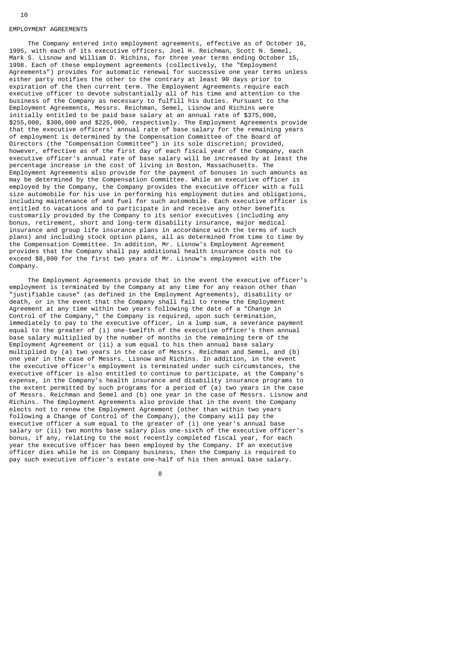#### EMPLOYMENT AGREEMENTS

 The Company entered into employment agreements, effective as of October 16, 1995, with each of its executive officers, Joel H. Reichman, Scott N. Semel, Mark S. Lisnow and William D. Richins, for three year terms ending October 15, 1998. Each of these employment agreements (collectively, the "Employment Agreements") provides for automatic renewal for successive one year terms unless either party notifies the other to the contrary at least 90 days prior to expiration of the then current term. The Employment Agreements require each executive officer to devote substantially all of his time and attention to the business of the Company as necessary to fulfill his duties. Pursuant to the Employment Agreements, Messrs. Reichman, Semel, Lisnow and Richins were initially entitled to be paid base salary at an annual rate of \$375,000, \$255,000, \$300,000 and \$225,000, respectively. The Employment Agreements provide that the executive officers' annual rate of base salary for the remaining years of employment is determined by the Compensation Committee of the Board of Directors (the "Compensation Committee") in its sole discretion; provided, however, effective as of the first day of each fiscal year of the Company, each executive officer's annual rate of base salary will be increased by at least the percentage increase in the cost of living in Boston, Massachusetts. The Employment Agreements also provide for the payment of bonuses in such amounts as may be determined by the Compensation Committee. While an executive officer is employed by the Company, the Company provides the executive officer with a full size automobile for his use in performing his employment duties and obligations, including maintenance of and fuel for such automobile. Each executive officer is entitled to vacations and to participate in and receive any other benefits customarily provided by the Company to its senior executives (including any bonus, retirement, short and long-term disability insurance, major medical insurance and group life insurance plans in accordance with the terms of such plans) and including stock option plans, all as determined from time to time by the Compensation Committee. In addition, Mr. Lisnow's Employment Agreement provides that the Company shall pay additional health insurance costs not to exceed \$8,800 for the first two years of Mr. Lisnow's employment with the Company.

 The Employment Agreements provide that in the event the executive officer's employment is terminated by the Company at any time for any reason other than "justifiable cause" (as defined in the Employment Agreements), disability or death, or in the event that the Company shall fail to renew the Employment Agreement at any time within two years following the date of a "Change in Control of the Company," the Company is required, upon such termination, immediately to pay to the executive officer, in a lump sum, a severance payment equal to the greater of (i) one-twelfth of the executive officer's then annual base salary multiplied by the number of months in the remaining term of the Employment Agreement or (ii) a sum equal to his then annual base salary multiplied by (a) two years in the case of Messrs. Reichman and Semel, and (b) one year in the case of Messrs. Lisnow and Richins. In addition, in the event the executive officer's employment is terminated under such circumstances, the executive officer is also entitled to continue to participate, at the Company's expense, in the Company's health insurance and disability insurance programs to the extent permitted by such programs for a period of (a) two years in the case of Messrs. Reichman and Semel and (b) one year in the case of Messrs. Lisnow and Richins. The Employment Agreements also provide that in the event the Company elects not to renew the Employment Agreement (other than within two years following a Change of Control of the Company), the Company will pay the executive officer a sum equal to the greater of (i) one year's annual base salary or (ii) two months base salary plus one-sixth of the executive officer's bonus, if any, relating to the most recently completed fiscal year, for each year the executive officer has been employed by the Company. If an executive officer dies while he is on Company business, then the Company is required to pay such executive officer's estate one-half of his then annual base salary.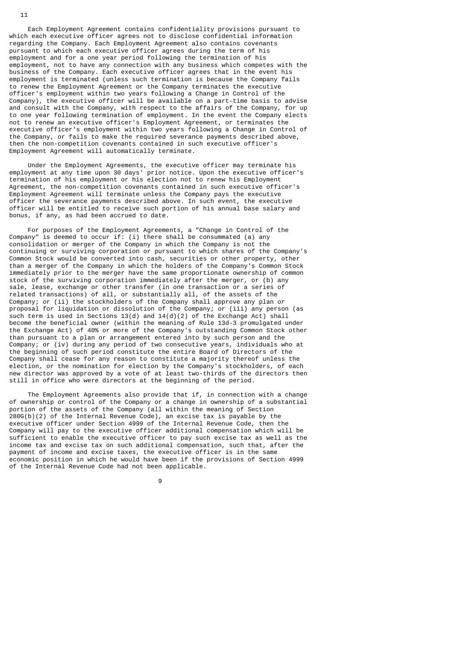Each Employment Agreement contains confidentiality provisions pursuant to which each executive officer agrees not to disclose confidential information regarding the Company. Each Employment Agreement also contains covenants pursuant to which each executive officer agrees during the term of his employment and for a one year period following the termination of his employment, not to have any connection with any business which competes with the business of the Company. Each executive officer agrees that in the event his employment is terminated (unless such termination is because the Company fails to renew the Employment Agreement or the Company terminates the executive officer's employment within two years following a Change in Control of the Company), the executive officer will be available on a part-time basis to advise and consult with the Company, with respect to the affairs of the Company, for up to one year following termination of employment. In the event the Company elects not to renew an executive officer's Employment Agreement, or terminates the executive officer's employment within two years following a Change in Control of the Company, or fails to make the required severance payments described above, then the non-competition covenants contained in such executive officer's Employment Agreement will automatically terminate.

 Under the Employment Agreements, the executive officer may terminate his employment at any time upon 30 days' prior notice. Upon the executive officer's termination of his employment or his election not to renew his Employment Agreement, the non-competition covenants contained in such executive officer's Employment Agreement will terminate unless the Company pays the executive officer the severance payments described above. In such event, the executive officer will be entitled to receive such portion of his annual base salary and bonus, if any, as had been accrued to date.

 For purposes of the Employment Agreements, a "Change in Control of the Company" is deemed to occur if: (i) there shall be consummated (a) any consolidation or merger of the Company in which the Company is not the continuing or surviving corporation or pursuant to which shares of the Company's Common Stock would be converted into cash, securities or other property, other than a merger of the Company in which the holders of the Company's Common Stock immediately prior to the merger have the same proportionate ownership of common stock of the surviving corporation immediately after the merger, or (b) any sale, lease, exchange or other transfer (in one transaction or a series of related transactions) of all, or substantially all, of the assets of the Company; or (ii) the stockholders of the Company shall approve any plan or proposal for liquidation or dissolution of the Company; or (iii) any person (as such term is used in Sections 13(d) and 14(d)(2) of the Exchange Act) shall become the beneficial owner (within the meaning of Rule 13d-3 promulgated under the Exchange Act) of 40% or more of the Company's outstanding Common Stock other than pursuant to a plan or arrangement entered into by such person and the Company; or (iv) during any period of two consecutive years, individuals who at the beginning of such period constitute the entire Board of Directors of the Company shall cease for any reason to constitute a majority thereof unless the election, or the nomination for election by the Company's stockholders, of each new director was approved by a vote of at least two-thirds of the directors then still in office who were directors at the beginning of the period.

 The Employment Agreements also provide that if, in connection with a change of ownership or control of the Company or a change in ownership of a substantial portion of the assets of the Company (all within the meaning of Section  $280G(b)(2)$  of the Internal Revenue Code), an excise tax is payable by the executive officer under Section 4999 of the Internal Revenue Code, then the Company will pay to the executive officer additional compensation which will be sufficient to enable the executive officer to pay such excise tax as well as the income tax and excise tax on such additional compensation, such that, after the payment of income and excise taxes, the executive officer is in the same economic position in which he would have been if the provisions of Section 4999 of the Internal Revenue Code had not been applicable.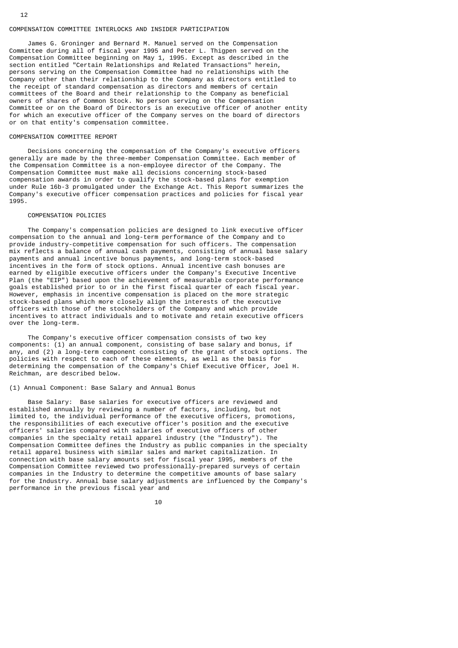### COMPENSATION COMMITTEE INTERLOCKS AND INSIDER PARTICIPATION

 James G. Groninger and Bernard M. Manuel served on the Compensation Committee during all of fiscal year 1995 and Peter L. Thigpen served on the Compensation Committee beginning on May 1, 1995. Except as described in the section entitled "Certain Relationships and Related Transactions" herein, persons serving on the Compensation Committee had no relationships with the Company other than their relationship to the Company as directors entitled to the receipt of standard compensation as directors and members of certain committees of the Board and their relationship to the Company as beneficial owners of shares of Common Stock. No person serving on the Compensation Committee or on the Board of Directors is an executive officer of another entity for which an executive officer of the Company serves on the board of directors or on that entity's compensation committee.

#### COMPENSATION COMMITTEE REPORT

12

 Decisions concerning the compensation of the Company's executive officers generally are made by the three-member Compensation Committee. Each member of the Compensation Committee is a non-employee director of the Company. The Compensation Committee must make all decisions concerning stock-based compensation awards in order to qualify the stock-based plans for exemption under Rule 16b-3 promulgated under the Exchange Act. This Report summarizes the Company's executive officer compensation practices and policies for fiscal year 1995.

#### COMPENSATION POLICIES

 The Company's compensation policies are designed to link executive officer compensation to the annual and long-term performance of the Company and to provide industry-competitive compensation for such officers. The compensation mix reflects a balance of annual cash payments, consisting of annual base salary payments and annual incentive bonus payments, and long-term stock-based incentives in the form of stock options. Annual incentive cash bonuses are earned by eligible executive officers under the Company's Executive Incentive Plan (the "EIP") based upon the achievement of measurable corporate performance goals established prior to or in the first fiscal quarter of each fiscal year. However, emphasis in incentive compensation is placed on the more strategic stock-based plans which more closely align the interests of the executive officers with those of the stockholders of the Company and which provide incentives to attract individuals and to motivate and retain executive officers over the long-term.

 The Company's executive officer compensation consists of two key components: (1) an annual component, consisting of base salary and bonus, if any, and (2) a long-term component consisting of the grant of stock options. The policies with respect to each of these elements, as well as the basis for determining the compensation of the Company's Chief Executive Officer, Joel H. Reichman, are described below.

# (1) Annual Component: Base Salary and Annual Bonus

 Base Salary: Base salaries for executive officers are reviewed and established annually by reviewing a number of factors, including, but not limited to, the individual performance of the executive officers, promotions, the responsibilities of each executive officer's position and the executive officers' salaries compared with salaries of executive officers of other companies in the specialty retail apparel industry (the "Industry"). The Compensation Committee defines the Industry as public companies in the specialty retail apparel business with similar sales and market capitalization. In connection with base salary amounts set for fiscal year 1995, members of the Compensation Committee reviewed two professionally-prepared surveys of certain companies in the Industry to determine the competitive amounts of base salary for the Industry. Annual base salary adjustments are influenced by the Company's performance in the previous fiscal year and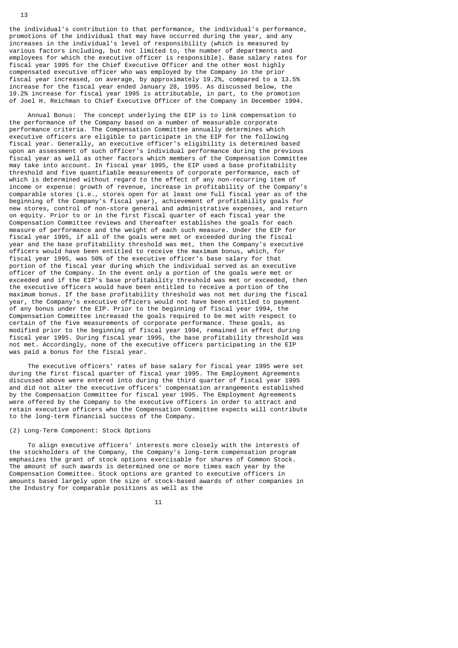the individual's contribution to that performance, the individual's performance, promotions of the individual that may have occurred during the year, and any increases in the individual's level of responsibility (which is measured by various factors including, but not limited to, the number of departments and employees for which the executive officer is responsible). Base salary rates for fiscal year 1995 for the Chief Executive Officer and the other most highly compensated executive officer who was employed by the Company in the prior fiscal year increased, on average, by approximately 19.2%, compared to a 13.5% increase for the fiscal year ended January 28, 1995. As discussed below, the 19.2% increase for fiscal year 1995 is attributable, in part, to the promotion of Joel H. Reichman to Chief Executive Officer of the Company in December 1994.

 Annual Bonus: The concept underlying the EIP is to link compensation to the performance of the Company based on a number of measurable corporate performance criteria. The Compensation Committee annually determines which executive officers are eligible to participate in the EIP for the following fiscal year. Generally, an executive officer's eligibility is determined based upon an assessment of such officer's individual performance during the previous fiscal year as well as other factors which members of the Compensation Committee may take into account. In fiscal year 1995, the EIP used a base profitability threshold and five quantifiable measurements of corporate performance, each of which is determined without regard to the effect of any non-recurring item of income or expense: growth of revenue, increase in profitability of the Company's comparable stores (i.e., stores open for at least one full fiscal year as of the beginning of the Company's fiscal year), achievement of profitability goals for new stores, control of non-store general and administrative expenses, and return on equity. Prior to or in the first fiscal quarter of each fiscal year the Compensation Committee reviews and thereafter establishes the goals for each measure of performance and the weight of each such measure. Under the EIP for fiscal year 1995, if all of the goals were met or exceeded during the fiscal year and the base profitability threshold was met, then the Company's executive officers would have been entitled to receive the maximum bonus, which, for fiscal year 1995, was 50% of the executive officer's base salary for that portion of the fiscal year during which the individual served as an executive officer of the Company. In the event only a portion of the goals were met or exceeded and if the EIP's base profitability threshold was met or exceeded, then the executive officers would have been entitled to receive a portion of the maximum bonus. If the base profitability threshold was not met during the fiscal year, the Company's executive officers would not have been entitled to payment of any bonus under the EIP. Prior to the beginning of fiscal year 1994, the Compensation Committee increased the goals required to be met with respect to certain of the five measurements of corporate performance. These goals, as modified prior to the beginning of fiscal year 1994, remained in effect during fiscal year 1995. During fiscal year 1995, the base profitability threshold was not met. Accordingly, none of the executive officers participating in the EIP was paid a bonus for the fiscal year.

 The executive officers' rates of base salary for fiscal year 1995 were set during the first fiscal quarter of fiscal year 1995. The Employment Agreements discussed above were entered into during the third quarter of fiscal year 1995 and did not alter the executive officers' compensation arrangements established by the Compensation Committee for fiscal year 1995. The Employment Agreements were offered by the Company to the executive officers in order to attract and retain executive officers who the Compensation Committee expects will contribute to the long-term financial success of the Company.

# (2) Long-Term Component: Stock Options

 To align executive officers' interests more closely with the interests of the stockholders of the Company, the Company's long-term compensation program emphasizes the grant of stock options exercisable for shares of Common Stock. The amount of such awards is determined one or more times each year by the Compensation Committee. Stock options are granted to executive officers in amounts based largely upon the size of stock-based awards of other companies in the Industry for comparable positions as well as the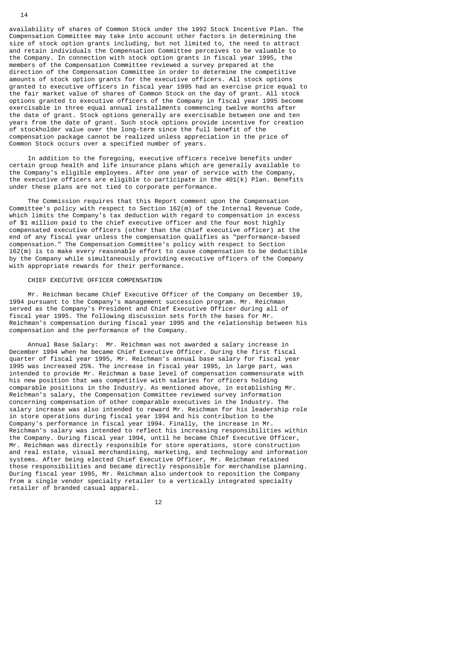availability of shares of Common Stock under the 1992 Stock Incentive Plan. The Compensation Committee may take into account other factors in determining the size of stock option grants including, but not limited to, the need to attract and retain individuals the Compensation Committee perceives to be valuable to the Company. In connection with stock option grants in fiscal year 1995, the members of the Compensation Committee reviewed a survey prepared at the direction of the Compensation Committee in order to determine the competitive amounts of stock option grants for the executive officers. All stock options granted to executive officers in fiscal year 1995 had an exercise price equal to the fair market value of shares of Common Stock on the day of grant. All stock options granted to executive officers of the Company in fiscal year 1995 become exercisable in three equal annual installments commencing twelve months after the date of grant. Stock options generally are exercisable between one and ten years from the date of grant. Such stock options provide incentive for creation of stockholder value over the long-term since the full benefit of the compensation package cannot be realized unless appreciation in the price of Common Stock occurs over a specified number of years.

 In addition to the foregoing, executive officers receive benefits under certain group health and life insurance plans which are generally available to the Company's eligible employees. After one year of service with the Company, the executive officers are eligible to participate in the 401(k) Plan. Benefits under these plans are not tied to corporate performance.

 The Commission requires that this Report comment upon the Compensation Committee's policy with respect to Section 162(m) of the Internal Revenue Code, which limits the Company's tax deduction with regard to compensation in excess of \$1 million paid to the chief executive officer and the four most highly compensated executive officers (other than the chief executive officer) at the end of any fiscal year unless the compensation qualifies as "performance-based compensation." The Compensation Committee's policy with respect to Section 162(m) is to make every reasonable effort to cause compensation to be deductible by the Company while simultaneously providing executive officers of the Company with appropriate rewards for their performance.

#### CHIEF EXECUTIVE OFFICER COMPENSATION

 Mr. Reichman became Chief Executive Officer of the Company on December 19, 1994 pursuant to the Company's management succession program. Mr. Reichman served as the Company's President and Chief Executive Officer during all of fiscal year 1995. The following discussion sets forth the bases for Mr. Reichman's compensation during fiscal year 1995 and the relationship between his compensation and the performance of the Company.

 Annual Base Salary: Mr. Reichman was not awarded a salary increase in December 1994 when he became Chief Executive Officer. During the first fiscal quarter of fiscal year 1995, Mr. Reichman's annual base salary for fiscal year 1995 was increased 25%. The increase in fiscal year 1995, in large part, was intended to provide Mr. Reichman a base level of compensation commensurate with his new position that was competitive with salaries for officers holding comparable positions in the Industry. As mentioned above, in establishing Mr. Reichman's salary, the Compensation Committee reviewed survey information concerning compensation of other comparable executives in the Industry. The salary increase was also intended to reward Mr. Reichman for his leadership role in store operations during fiscal year 1994 and his contribution to the Company's performance in fiscal year 1994. Finally, the increase in Mr. Reichman's salary was intended to reflect his increasing responsibilities within the Company. During fiscal year 1994, until he became Chief Executive Officer, Mr. Reichman was directly responsible for store operations, store construction and real estate, visual merchandising, marketing, and technology and information systems. After being elected Chief Executive Officer, Mr. Reichman retained those responsibilities and became directly responsible for merchandise planning. During fiscal year 1995, Mr. Reichman also undertook to reposition the Company from a single vendor specialty retailer to a vertically integrated specialty retailer of branded casual apparel.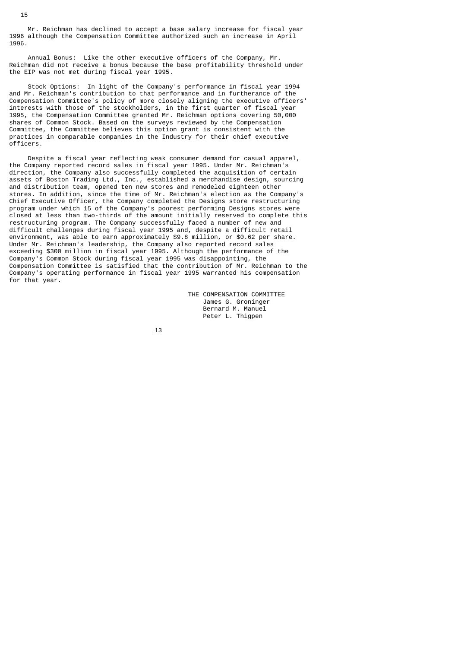Mr. Reichman has declined to accept a base salary increase for fiscal year 1996 although the Compensation Committee authorized such an increase in April 1996.

 Annual Bonus: Like the other executive officers of the Company, Mr. Reichman did not receive a bonus because the base profitability threshold under the EIP was not met during fiscal year 1995.

 Stock Options: In light of the Company's performance in fiscal year 1994 and Mr. Reichman's contribution to that performance and in furtherance of the Compensation Committee's policy of more closely aligning the executive officers' interests with those of the stockholders, in the first quarter of fiscal year 1995, the Compensation Committee granted Mr. Reichman options covering 50,000 shares of Common Stock. Based on the surveys reviewed by the Compensation Committee, the Committee believes this option grant is consistent with the practices in comparable companies in the Industry for their chief executive officers.

 Despite a fiscal year reflecting weak consumer demand for casual apparel, the Company reported record sales in fiscal year 1995. Under Mr. Reichman's direction, the Company also successfully completed the acquisition of certain assets of Boston Trading Ltd., Inc., established a merchandise design, sourcing and distribution team, opened ten new stores and remodeled eighteen other stores. In addition, since the time of Mr. Reichman's election as the Company's Chief Executive Officer, the Company completed the Designs store restructuring program under which 15 of the Company's poorest performing Designs stores were closed at less than two-thirds of the amount initially reserved to complete this restructuring program. The Company successfully faced a number of new and difficult challenges during fiscal year 1995 and, despite a difficult retail environment, was able to earn approximately \$9.8 million, or \$0.62 per share. Under Mr. Reichman's leadership, the Company also reported record sales exceeding \$300 million in fiscal year 1995. Although the performance of the Company's Common Stock during fiscal year 1995 was disappointing, the Compensation Committee is satisfied that the contribution of Mr. Reichman to the Company's operating performance in fiscal year 1995 warranted his compensation for that year.

> THE COMPENSATION COMMITTEE James G. Groninger Bernard M. Manuel Peter L. Thigpen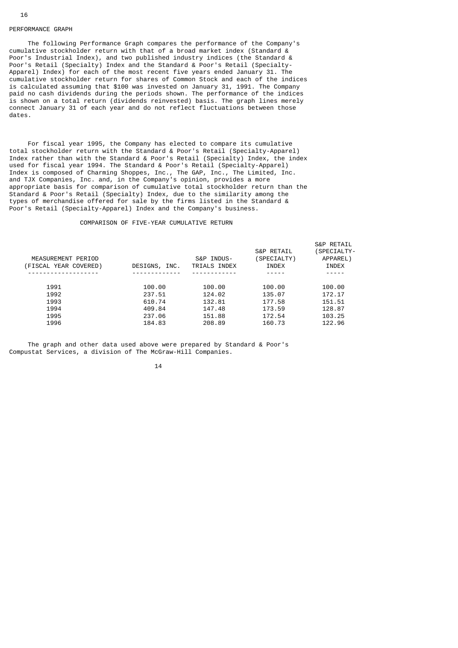### PERFORMANCE GRAPH

 The following Performance Graph compares the performance of the Company's cumulative stockholder return with that of a broad market index (Standard & Poor's Industrial Index), and two published industry indices (the Standard & Poor's Retail (Specialty) Index and the Standard & Poor's Retail (Specialty-Apparel) Index) for each of the most recent five years ended January 31. The cumulative stockholder return for shares of Common Stock and each of the indices is calculated assuming that \$100 was invested on January 31, 1991. The Company paid no cash dividends during the periods shown. The performance of the indices is shown on a total return (dividends reinvested) basis. The graph lines merely connect January 31 of each year and do not reflect fluctuations between those dates.

 For fiscal year 1995, the Company has elected to compare its cumulative total stockholder return with the Standard & Poor's Retail (Specialty-Apparel) Index rather than with the Standard & Poor's Retail (Specialty) Index, the index used for fiscal year 1994. The Standard & Poor's Retail (Specialty-Apparel) Index is composed of Charming Shoppes, Inc., The GAP, Inc., The Limited, Inc. and TJX Companies, Inc. and, in the Company's opinion, provides a more appropriate basis for comparison of cumulative total stockholder return than the Standard & Poor's Retail (Specialty) Index, due to the similarity among the types of merchandise offered for sale by the firms listed in the Standard & Poor's Retail (Specialty-Apparel) Index and the Company's business.

# COMPARISON OF FIVE-YEAR CUMULATIVE RETURN

| MEASUREMENT PERIOD<br>(FISCAL YEAR COVERED) | DESIGNS, INC. | S&P INDUS-<br>TRIALS INDEX | <b>S&amp;P RETAIL</b><br>(SPECIALTY)<br><b>INDEX</b> | S&P RETAIL<br>SPECIALTY-<br>APPAREL)<br>INDEX |
|---------------------------------------------|---------------|----------------------------|------------------------------------------------------|-----------------------------------------------|
|                                             |               |                            |                                                      |                                               |
| 1991                                        | 100.00        | 100.00                     | 100.00                                               | 100.00                                        |
| 1992                                        | 237.51        | 124.02                     | 135.07                                               | 172.17                                        |
| 1993                                        | 610.74        | 132.81                     | 177.58                                               | 151.51                                        |
| 1994                                        | 409.84        | 147.48                     | 173.59                                               | 128.87                                        |
| 1995                                        | 237.06        | 151.88                     | 172.54                                               | 103.25                                        |
| 1996                                        | 184.83        | 208.89                     | 160.73                                               | 122.96                                        |
|                                             |               |                            |                                                      |                                               |

 The graph and other data used above were prepared by Standard & Poor's Compustat Services, a division of The McGraw-Hill Companies.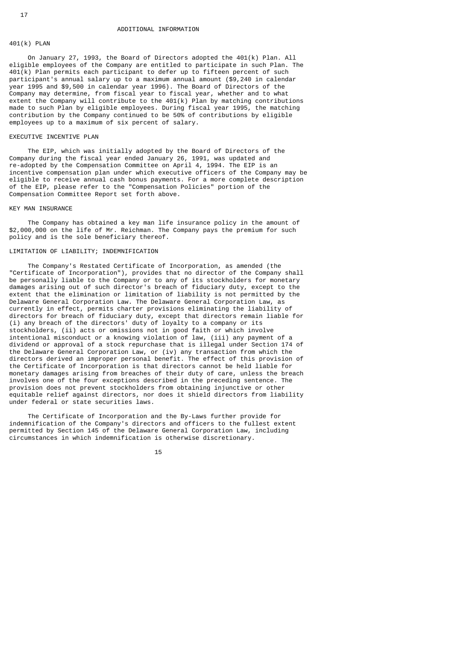# 401(k) PLAN

 On January 27, 1993, the Board of Directors adopted the 401(k) Plan. All eligible employees of the Company are entitled to participate in such Plan. The 401(k) Plan permits each participant to defer up to fifteen percent of such participant's annual salary up to a maximum annual amount (\$9,240 in calendar year 1995 and \$9,500 in calendar year 1996). The Board of Directors of the Company may determine, from fiscal year to fiscal year, whether and to what extent the Company will contribute to the 401(k) Plan by matching contributions made to such Plan by eligible employees. During fiscal year 1995, the matching contribution by the Company continued to be 50% of contributions by eligible employees up to a maximum of six percent of salary.

# EXECUTIVE INCENTIVE PLAN

 The EIP, which was initially adopted by the Board of Directors of the Company during the fiscal year ended January 26, 1991, was updated and re-adopted by the Compensation Committee on April 4, 1994. The EIP is an incentive compensation plan under which executive officers of the Company may be eligible to receive annual cash bonus payments. For a more complete description of the EIP, please refer to the "Compensation Policies" portion of the Compensation Committee Report set forth above.

# KEY MAN INSURANCE

 The Company has obtained a key man life insurance policy in the amount of \$2,000,000 on the life of Mr. Reichman. The Company pays the premium for such policy and is the sole beneficiary thereof.

# LIMITATION OF LIABILITY; INDEMNIFICATION

 The Company's Restated Certificate of Incorporation, as amended (the "Certificate of Incorporation"), provides that no director of the Company shall be personally liable to the Company or to any of its stockholders for monetary damages arising out of such director's breach of fiduciary duty, except to the extent that the elimination or limitation of liability is not permitted by the Delaware General Corporation Law. The Delaware General Corporation Law, as currently in effect, permits charter provisions eliminating the liability of directors for breach of fiduciary duty, except that directors remain liable for (i) any breach of the directors' duty of loyalty to a company or its stockholders, (ii) acts or omissions not in good faith or which involve intentional misconduct or a knowing violation of law, (iii) any payment of a dividend or approval of a stock repurchase that is illegal under Section 174 of the Delaware General Corporation Law, or (iv) any transaction from which the directors derived an improper personal benefit. The effect of this provision of the Certificate of Incorporation is that directors cannot be held liable for monetary damages arising from breaches of their duty of care, unless the breach involves one of the four exceptions described in the preceding sentence. The provision does not prevent stockholders from obtaining injunctive or other equitable relief against directors, nor does it shield directors from liability under federal or state securities laws.

 The Certificate of Incorporation and the By-Laws further provide for indemnification of the Company's directors and officers to the fullest extent permitted by Section 145 of the Delaware General Corporation Law, including circumstances in which indemnification is otherwise discretionary.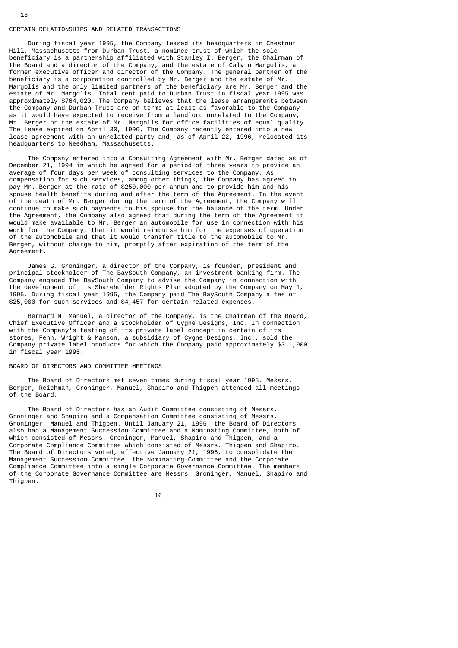#### CERTAIN RELATIONSHIPS AND RELATED TRANSACTIONS

 During fiscal year 1995, the Company leased its headquarters in Chestnut Hill, Massachusetts from Durban Trust, a nominee trust of which the sole beneficiary is a partnership affiliated with Stanley I. Berger, the Chairman of the Board and a director of the Company, and the estate of Calvin Margolis, a former executive officer and director of the Company. The general partner of the beneficiary is a corporation controlled by Mr. Berger and the estate of Mr. Margolis and the only limited partners of the beneficiary are Mr. Berger and the estate of Mr. Margolis. Total rent paid to Durban Trust in fiscal year 1995 was approximately \$764,020. The Company believes that the lease arrangements between the Company and Durban Trust are on terms at least as favorable to the Company as it would have expected to receive from a landlord unrelated to the Company, Mr. Berger or the estate of Mr. Margolis for office facilities of equal quality. The lease expired on April 30, 1996. The Company recently entered into a new lease agreement with an unrelated party and, as of April 22, 1996, relocated its headquarters to Needham, Massachusetts.

 The Company entered into a Consulting Agreement with Mr. Berger dated as of December 21, 1994 in which he agreed for a period of three years to provide an average of four days per week of consulting services to the Company. As compensation for such services, among other things, the Company has agreed to pay Mr. Berger at the rate of \$250,000 per annum and to provide him and his spouse health benefits during and after the term of the Agreement. In the event of the death of Mr. Berger during the term of the Agreement, the Company will continue to make such payments to his spouse for the balance of the term. Under the Agreement, the Company also agreed that during the term of the Agreement it would make available to Mr. Berger an automobile for use in connection with his work for the Company, that it would reimburse him for the expenses of operation of the automobile and that it would transfer title to the automobile to Mr. Berger, without charge to him, promptly after expiration of the term of the Agreement.

 James G. Groninger, a director of the Company, is founder, president and principal stockholder of The BaySouth Company, an investment banking firm. The Company engaged The BaySouth Company to advise the Company in connection with the development of its Shareholder Rights Plan adopted by the Company on May 1, 1995. During fiscal year 1995, the Company paid The BaySouth Company a fee of \$25,000 for such services and \$4,457 for certain related expenses.

 Bernard M. Manuel, a director of the Company, is the Chairman of the Board, Chief Executive Officer and a stockholder of Cygne Designs, Inc. In connection with the Company's testing of its private label concept in certain of its stores, Fenn, Wright & Manson, a subsidiary of Cygne Designs, Inc., sold the Company private label products for which the Company paid approximately \$311,000 in fiscal year 1995.

# BOARD OF DIRECTORS AND COMMITTEE MEETINGS

 The Board of Directors met seven times during fiscal year 1995. Messrs. Berger, Reichman, Groninger, Manuel, Shapiro and Thigpen attended all meetings of the Board.

 The Board of Directors has an Audit Committee consisting of Messrs. Groninger and Shapiro and a Compensation Committee consisting of Messrs. Groninger, Manuel and Thigpen. Until January 21, 1996, the Board of Directors also had a Management Succession Committee and a Nominating Committee, both of which consisted of Messrs. Groninger, Manuel, Shapiro and Thigpen, and a Corporate Compliance Committee which consisted of Messrs. Thigpen and Shapiro. The Board of Directors voted, effective January 21, 1996, to consolidate the Management Succession Committee, the Nominating Committee and the Corporate Compliance Committee into a single Corporate Governance Committee. The members of the Corporate Governance Committee are Messrs. Groninger, Manuel, Shapiro and Thigpen.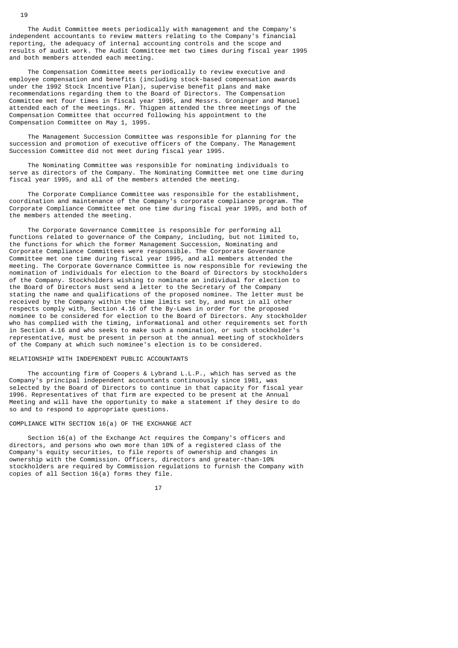The Audit Committee meets periodically with management and the Company's independent accountants to review matters relating to the Company's financial reporting, the adequacy of internal accounting controls and the scope and results of audit work. The Audit Committee met two times during fiscal year 1995 and both members attended each meeting.

 The Compensation Committee meets periodically to review executive and employee compensation and benefits (including stock-based compensation awards under the 1992 Stock Incentive Plan), supervise benefit plans and make recommendations regarding them to the Board of Directors. The Compensation Committee met four times in fiscal year 1995, and Messrs. Groninger and Manuel attended each of the meetings. Mr. Thigpen attended the three meetings of the Compensation Committee that occurred following his appointment to the Compensation Committee on May 1, 1995.

 The Management Succession Committee was responsible for planning for the succession and promotion of executive officers of the Company. The Management Succession Committee did not meet during fiscal year 1995.

 The Nominating Committee was responsible for nominating individuals to serve as directors of the Company. The Nominating Committee met one time during fiscal year 1995, and all of the members attended the meeting.

 The Corporate Compliance Committee was responsible for the establishment, coordination and maintenance of the Company's corporate compliance program. The Corporate Compliance Committee met one time during fiscal year 1995, and both of the members attended the meeting.

 The Corporate Governance Committee is responsible for performing all functions related to governance of the Company, including, but not limited to, the functions for which the former Management Succession, Nominating and Corporate Compliance Committees were responsible. The Corporate Governance Committee met one time during fiscal year 1995, and all members attended the meeting. The Corporate Governance Committee is now responsible for reviewing the nomination of individuals for election to the Board of Directors by stockholders of the Company. Stockholders wishing to nominate an individual for election to the Board of Directors must send a letter to the Secretary of the Company stating the name and qualifications of the proposed nominee. The letter must be received by the Company within the time limits set by, and must in all other respects comply with, Section 4.16 of the By-Laws in order for the proposed nominee to be considered for election to the Board of Directors. Any stockholder who has complied with the timing, informational and other requirements set forth in Section 4.16 and who seeks to make such a nomination, or such stockholder's representative, must be present in person at the annual meeting of stockholders of the Company at which such nominee's election is to be considered.

# RELATIONSHIP WITH INDEPENDENT PUBLIC ACCOUNTANTS

 The accounting firm of Coopers & Lybrand L.L.P., which has served as the Company's principal independent accountants continuously since 1981, was selected by the Board of Directors to continue in that capacity for fiscal year 1996. Representatives of that firm are expected to be present at the Annual Meeting and will have the opportunity to make a statement if they desire to do so and to respond to appropriate questions.

#### COMPLIANCE WITH SECTION 16(a) OF THE EXCHANGE ACT

 Section 16(a) of the Exchange Act requires the Company's officers and directors, and persons who own more than 10% of a registered class of the Company's equity securities, to file reports of ownership and changes in ownership with the Commission. Officers, directors and greater-than-10% stockholders are required by Commission regulations to furnish the Company with copies of all Section 16(a) forms they file.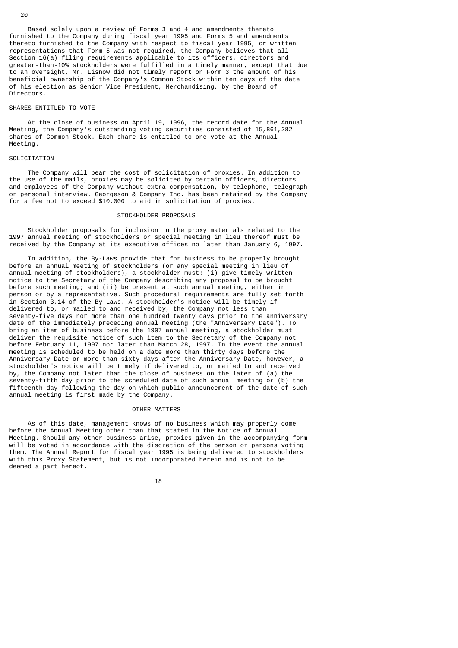Based solely upon a review of Forms 3 and 4 and amendments thereto furnished to the Company during fiscal year 1995 and Forms 5 and amendments thereto furnished to the Company with respect to fiscal year 1995, or written representations that Form 5 was not required, the Company believes that all Section 16(a) filing requirements applicable to its officers, directors and greater-than-10% stockholders were fulfilled in a timely manner, except that due to an oversight, Mr. Lisnow did not timely report on Form 3 the amount of his beneficial ownership of the Company's Common Stock within ten days of the date of his election as Senior Vice President, Merchandising, by the Board of Directors.

# SHARES ENTITLED TO VOTE

 At the close of business on April 19, 1996, the record date for the Annual Meeting, the Company's outstanding voting securities consisted of 15,861,282 shares of Common Stock. Each share is entitled to one vote at the Annual Meeting.

# **SOLICITATION**

 The Company will bear the cost of solicitation of proxies. In addition to the use of the mails, proxies may be solicited by certain officers, directors and employees of the Company without extra compensation, by telephone, telegraph or personal interview. Georgeson & Company Inc. has been retained by the Company for a fee not to exceed \$10,000 to aid in solicitation of proxies.

### STOCKHOLDER PROPOSALS

 Stockholder proposals for inclusion in the proxy materials related to the 1997 annual meeting of stockholders or special meeting in lieu thereof must be received by the Company at its executive offices no later than January 6, 1997.

 In addition, the By-Laws provide that for business to be properly brought before an annual meeting of stockholders (or any special meeting in lieu of annual meeting of stockholders), a stockholder must: (i) give timely written notice to the Secretary of the Company describing any proposal to be brought before such meeting; and (ii) be present at such annual meeting, either in person or by a representative. Such procedural requirements are fully set forth in Section 3.14 of the By-Laws. A stockholder's notice will be timely if delivered to, or mailed to and received by, the Company not less than seventy-five days nor more than one hundred twenty days prior to the anniversary date of the immediately preceding annual meeting (the "Anniversary Date"). To bring an item of business before the 1997 annual meeting, a stockholder must deliver the requisite notice of such item to the Secretary of the Company not before February 11, 1997 nor later than March 28, 1997. In the event the annual meeting is scheduled to be held on a date more than thirty days before the Anniversary Date or more than sixty days after the Anniversary Date, however, a stockholder's notice will be timely if delivered to, or mailed to and received by, the Company not later than the close of business on the later of (a) the seventy-fifth day prior to the scheduled date of such annual meeting or (b) the fifteenth day following the day on which public announcement of the date of such annual meeting is first made by the Company.

# OTHER MATTERS

 As of this date, management knows of no business which may properly come before the Annual Meeting other than that stated in the Notice of Annual Meeting. Should any other business arise, proxies given in the accompanying form will be voted in accordance with the discretion of the person or persons voting them. The Annual Report for fiscal year 1995 is being delivered to stockholders with this Proxy Statement, but is not incorporated herein and is not to be deemed a part hereof.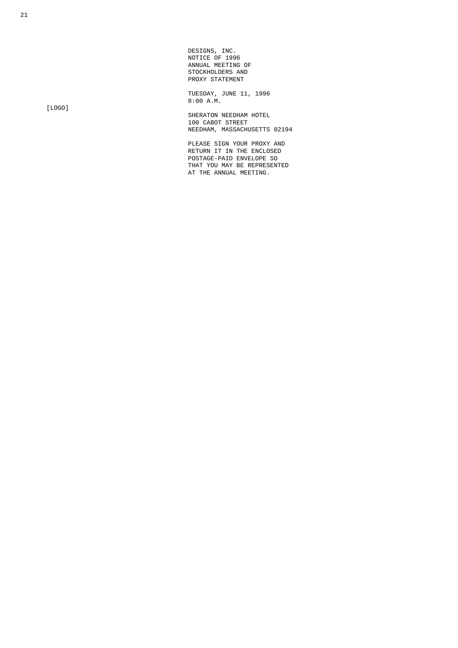DESIGNS, INC. NOTICE OF 1996 ANNUAL MEETING OF STOCKHOLDERS AND PROXY STATEMENT

 TUESDAY, JUNE 11, 1996  $8:00$  A.M.

> SHERATON NEEDHAM HOTEL 100 CABOT STREET NEEDHAM, MASSACHUSETTS 02194

 PLEASE SIGN YOUR PROXY AND RETURN IT IN THE ENCLOSED POSTAGE-PAID ENVELOPE SO THAT YOU MAY BE REPRESENTED AT THE ANNUAL MEETING.

[LOGO]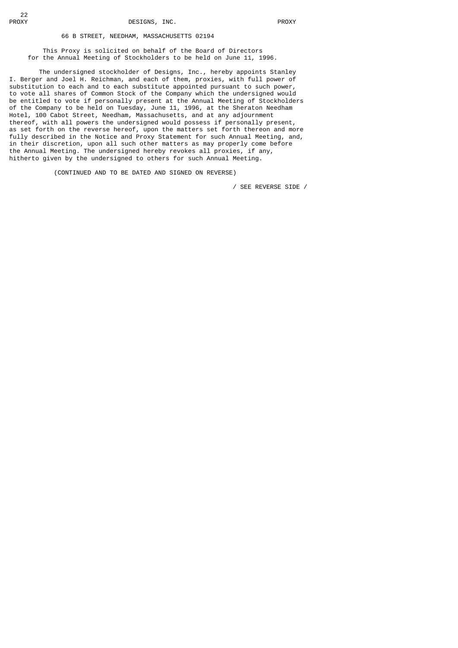# 66 B STREET, NEEDHAM, MASSACHUSETTS 02194

 This Proxy is solicited on behalf of the Board of Directors for the Annual Meeting of Stockholders to be held on June 11, 1996.

 The undersigned stockholder of Designs, Inc., hereby appoints Stanley I. Berger and Joel H. Reichman, and each of them, proxies, with full power of substitution to each and to each substitute appointed pursuant to such power, to vote all shares of Common Stock of the Company which the undersigned would be entitled to vote if personally present at the Annual Meeting of Stockholders of the Company to be held on Tuesday, June 11, 1996, at the Sheraton Needham Hotel, 100 Cabot Street, Needham, Massachusetts, and at any adjournment thereof, with all powers the undersigned would possess if personally present, as set forth on the reverse hereof, upon the matters set forth thereon and more fully described in the Notice and Proxy Statement for such Annual Meeting, and, in their discretion, upon all such other matters as may properly come before the Annual Meeting. The undersigned hereby revokes all proxies, if any, hitherto given by the undersigned to others for such Annual Meeting.

(CONTINUED AND TO BE DATED AND SIGNED ON REVERSE)

/ SEE REVERSE SIDE /